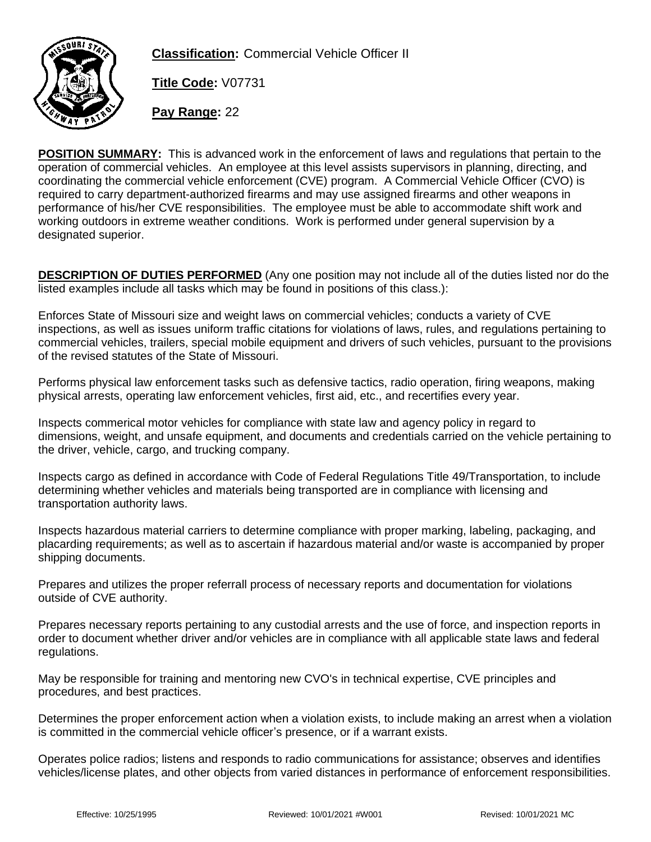

**Classification:** Commercial Vehicle Officer II

**Title Code:** V07731

**Pay Range:** 22

**POSITION SUMMARY:** This is advanced work in the enforcement of laws and regulations that pertain to the operation of commercial vehicles. An employee at this level assists supervisors in planning, directing, and coordinating the commercial vehicle enforcement (CVE) program. A Commercial Vehicle Officer (CVO) is required to carry department-authorized firearms and may use assigned firearms and other weapons in performance of his/her CVE responsibilities. The employee must be able to accommodate shift work and working outdoors in extreme weather conditions. Work is performed under general supervision by a designated superior.

**DESCRIPTION OF DUTIES PERFORMED** (Any one position may not include all of the duties listed nor do the listed examples include all tasks which may be found in positions of this class.):

Enforces State of Missouri size and weight laws on commercial vehicles; conducts a variety of CVE inspections, as well as issues uniform traffic citations for violations of laws, rules, and regulations pertaining to commercial vehicles, trailers, special mobile equipment and drivers of such vehicles, pursuant to the provisions of the revised statutes of the State of Missouri.

Performs physical law enforcement tasks such as defensive tactics, radio operation, firing weapons, making physical arrests, operating law enforcement vehicles, first aid, etc., and recertifies every year.

Inspects commerical motor vehicles for compliance with state law and agency policy in regard to dimensions, weight, and unsafe equipment, and documents and credentials carried on the vehicle pertaining to the driver, vehicle, cargo, and trucking company.

Inspects cargo as defined in accordance with Code of Federal Regulations Title 49/Transportation, to include determining whether vehicles and materials being transported are in compliance with licensing and transportation authority laws.

Inspects hazardous material carriers to determine compliance with proper marking, labeling, packaging, and placarding requirements; as well as to ascertain if hazardous material and/or waste is accompanied by proper shipping documents.

Prepares and utilizes the proper referrall process of necessary reports and documentation for violations outside of CVE authority.

Prepares necessary reports pertaining to any custodial arrests and the use of force, and inspection reports in order to document whether driver and/or vehicles are in compliance with all applicable state laws and federal regulations.

May be responsible for training and mentoring new CVO's in technical expertise, CVE principles and procedures, and best practices.

Determines the proper enforcement action when a violation exists, to include making an arrest when a violation is committed in the commercial vehicle officer's presence, or if a warrant exists.

Operates police radios; listens and responds to radio communications for assistance; observes and identifies vehicles/license plates, and other objects from varied distances in performance of enforcement responsibilities.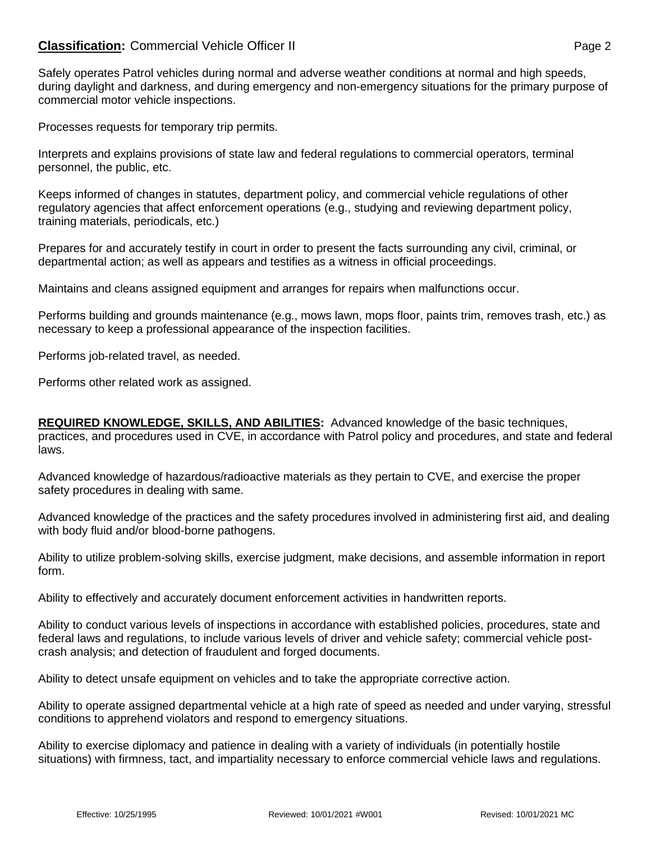## **Classification:** Commercial Vehicle Officer II **Classification:** Page 2

Safely operates Patrol vehicles during normal and adverse weather conditions at normal and high speeds, during daylight and darkness, and during emergency and non-emergency situations for the primary purpose of commercial motor vehicle inspections.

Processes requests for temporary trip permits.

Interprets and explains provisions of state law and federal regulations to commercial operators, terminal personnel, the public, etc.

Keeps informed of changes in statutes, department policy, and commercial vehicle regulations of other regulatory agencies that affect enforcement operations (e.g., studying and reviewing department policy, training materials, periodicals, etc.)

Prepares for and accurately testify in court in order to present the facts surrounding any civil, criminal, or departmental action; as well as appears and testifies as a witness in official proceedings.

Maintains and cleans assigned equipment and arranges for repairs when malfunctions occur.

Performs building and grounds maintenance (e.g., mows lawn, mops floor, paints trim, removes trash, etc.) as necessary to keep a professional appearance of the inspection facilities.

Performs job-related travel, as needed.

Performs other related work as assigned.

**REQUIRED KNOWLEDGE, SKILLS, AND ABILITIES:** Advanced knowledge of the basic techniques, practices, and procedures used in CVE, in accordance with Patrol policy and procedures, and state and federal laws.

Advanced knowledge of hazardous/radioactive materials as they pertain to CVE, and exercise the proper safety procedures in dealing with same.

Advanced knowledge of the practices and the safety procedures involved in administering first aid, and dealing with body fluid and/or blood-borne pathogens.

Ability to utilize problem-solving skills, exercise judgment, make decisions, and assemble information in report form.

Ability to effectively and accurately document enforcement activities in handwritten reports.

Ability to conduct various levels of inspections in accordance with established policies, procedures, state and federal laws and regulations, to include various levels of driver and vehicle safety; commercial vehicle postcrash analysis; and detection of fraudulent and forged documents.

Ability to detect unsafe equipment on vehicles and to take the appropriate corrective action.

Ability to operate assigned departmental vehicle at a high rate of speed as needed and under varying, stressful conditions to apprehend violators and respond to emergency situations.

Ability to exercise diplomacy and patience in dealing with a variety of individuals (in potentially hostile situations) with firmness, tact, and impartiality necessary to enforce commercial vehicle laws and regulations.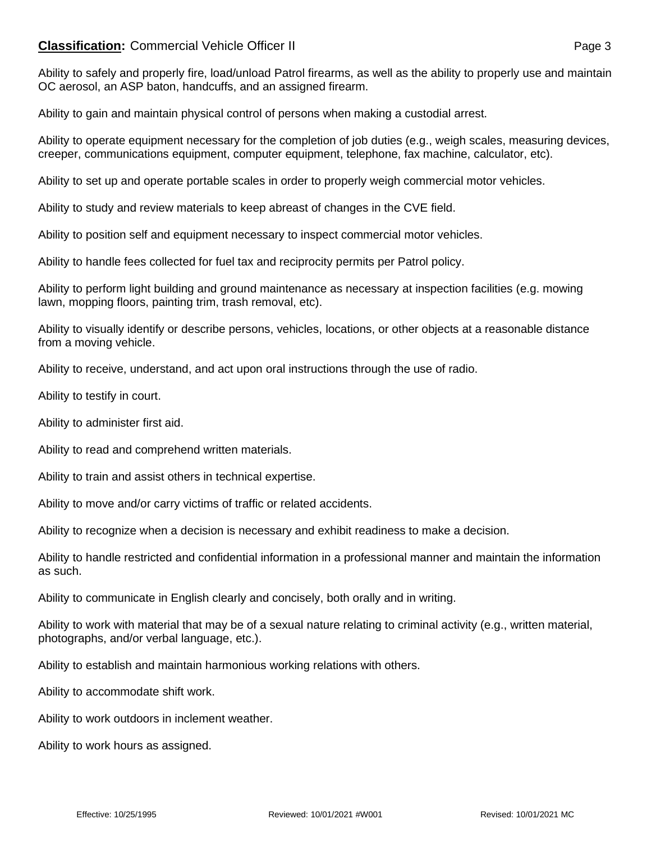## **Classification:** Commercial Vehicle Officer II **Classification:** Page 3

Ability to safely and properly fire, load/unload Patrol firearms, as well as the ability to properly use and maintain OC aerosol, an ASP baton, handcuffs, and an assigned firearm.

Ability to gain and maintain physical control of persons when making a custodial arrest.

Ability to operate equipment necessary for the completion of job duties (e.g., weigh scales, measuring devices, creeper, communications equipment, computer equipment, telephone, fax machine, calculator, etc).

Ability to set up and operate portable scales in order to properly weigh commercial motor vehicles.

Ability to study and review materials to keep abreast of changes in the CVE field.

Ability to position self and equipment necessary to inspect commercial motor vehicles.

Ability to handle fees collected for fuel tax and reciprocity permits per Patrol policy.

Ability to perform light building and ground maintenance as necessary at inspection facilities (e.g. mowing lawn, mopping floors, painting trim, trash removal, etc).

Ability to visually identify or describe persons, vehicles, locations, or other objects at a reasonable distance from a moving vehicle.

Ability to receive, understand, and act upon oral instructions through the use of radio.

Ability to testify in court.

Ability to administer first aid.

Ability to read and comprehend written materials.

Ability to train and assist others in technical expertise.

Ability to move and/or carry victims of traffic or related accidents.

Ability to recognize when a decision is necessary and exhibit readiness to make a decision.

Ability to handle restricted and confidential information in a professional manner and maintain the information as such.

Ability to communicate in English clearly and concisely, both orally and in writing.

Ability to work with material that may be of a sexual nature relating to criminal activity (e.g., written material, photographs, and/or verbal language, etc.).

Ability to establish and maintain harmonious working relations with others.

Ability to accommodate shift work.

Ability to work outdoors in inclement weather.

Ability to work hours as assigned.